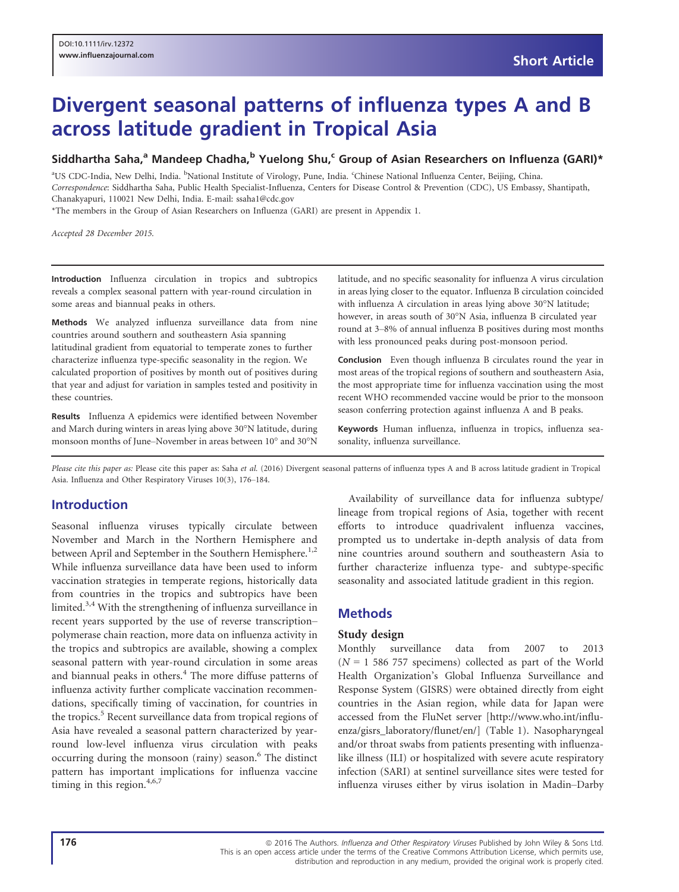# Divergent seasonal patterns of influenza types A and B across latitude gradient in Tropical Asia

Siddhartha Saha,<sup>a</sup> Mandeep Chadha,<sup>b</sup> Yuelong Shu,<sup>c</sup> Group of Asian Researchers on Influenza (GARI)\*

<sup>a</sup>US CDC-India, New Delhi, India. <sup>b</sup>National Institute of Virology, Pune, India. <sup>c</sup>Chinese National Influenza Center, Beijing, China. *Correspondence*: Siddhartha Saha, Public Health Specialist-Influenza, Centers for Disease Control & Prevention (CDC), US Embassy, Shantipath, Chanakyapuri, 110021 New Delhi, India. E-mail: ssaha1@cdc.gov

\*The members in the Group of Asian Researchers on Influenza (GARI) are present in Appendix 1.

*Accepted 28 December 2015.*

Introduction Influenza circulation in tropics and subtropics reveals a complex seasonal pattern with year-round circulation in some areas and biannual peaks in others.

Methods We analyzed influenza surveillance data from nine countries around southern and southeastern Asia spanning latitudinal gradient from equatorial to temperate zones to further characterize influenza type-specific seasonality in the region. We calculated proportion of positives by month out of positives during that year and adjust for variation in samples tested and positivity in these countries.

Results Influenza A epidemics were identified between November and March during winters in areas lying above 30°N latitude, during monsoon months of June–November in areas between 10° and 30°N

latitude, and no specific seasonality for influenza A virus circulation in areas lying closer to the equator. Influenza B circulation coincided with influenza A circulation in areas lying above 30°N latitude; however, in areas south of 30°N Asia, influenza B circulated year round at 3–8% of annual influenza B positives during most months with less pronounced peaks during post-monsoon period.

Conclusion Even though influenza B circulates round the year in most areas of the tropical regions of southern and southeastern Asia, the most appropriate time for influenza vaccination using the most recent WHO recommended vaccine would be prior to the monsoon season conferring protection against influenza A and B peaks.

Keywords Human influenza, influenza in tropics, influenza seasonality, influenza surveillance.

*Please cite this paper as:* Please cite this paper as: Saha *et al.* (2016) Divergent seasonal patterns of influenza types A and B across latitude gradient in Tropical Asia. Influenza and Other Respiratory Viruses 10(3), 176–184.

## Introduction

Seasonal influenza viruses typically circulate between November and March in the Northern Hemisphere and between April and September in the Southern Hemisphere.<sup>1,2</sup> While influenza surveillance data have been used to inform vaccination strategies in temperate regions, historically data from countries in the tropics and subtropics have been limited. $3,4$  With the strengthening of influenza surveillance in recent years supported by the use of reverse transcription– polymerase chain reaction, more data on influenza activity in the tropics and subtropics are available, showing a complex seasonal pattern with year-round circulation in some areas and biannual peaks in others.<sup>4</sup> The more diffuse patterns of influenza activity further complicate vaccination recommendations, specifically timing of vaccination, for countries in the tropics.<sup>5</sup> Recent surveillance data from tropical regions of Asia have revealed a seasonal pattern characterized by yearround low-level influenza virus circulation with peaks occurring during the monsoon (rainy) season.<sup>6</sup> The distinct pattern has important implications for influenza vaccine timing in this region. $4,6,7$ 

Availability of surveillance data for influenza subtype/ lineage from tropical regions of Asia, together with recent efforts to introduce quadrivalent influenza vaccines, prompted us to undertake in-depth analysis of data from nine countries around southern and southeastern Asia to further characterize influenza type- and subtype-specific seasonality and associated latitude gradient in this region.

## **Methods**

#### Study design

Monthly surveillance data from 2007 to 2013  $(N = 1 586 757$  specimens) collected as part of the World Health Organization's Global Influenza Surveillance and Response System (GISRS) were obtained directly from eight countries in the Asian region, while data for Japan were accessed from the FluNet server [http://www.who.int/influenza/gisrs\_laboratory/flunet/en/] (Table 1). Nasopharyngeal and/or throat swabs from patients presenting with influenzalike illness (ILI) or hospitalized with severe acute respiratory infection (SARI) at sentinel surveillance sites were tested for influenza viruses either by virus isolation in Madin–Darby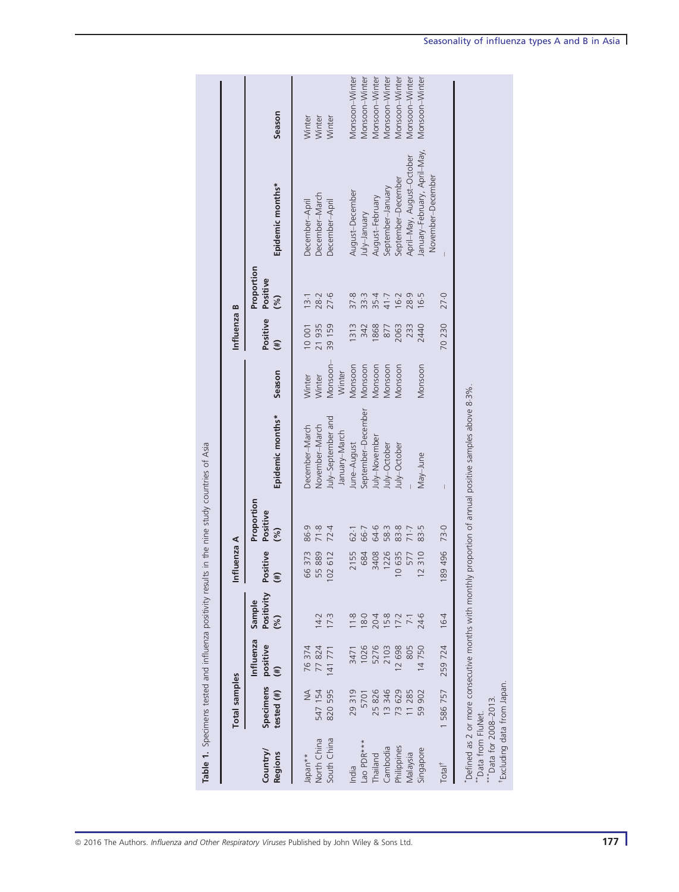|                                                  | <b>Total samples</b>                    |                                 |                             | Influenza A        |                               |                                                                                                        |          | Influenza B               |                               |                                                   |                |
|--------------------------------------------------|-----------------------------------------|---------------------------------|-----------------------------|--------------------|-------------------------------|--------------------------------------------------------------------------------------------------------|----------|---------------------------|-------------------------------|---------------------------------------------------|----------------|
| Country/<br>Regions                              | Specimens<br>tested (#)                 | Influenza<br>positive<br>$(\#)$ | Positivity<br>Sample<br>(%) | Positive<br>$(\#)$ | Proportion<br>Positive<br>(%) | Epidemic months*                                                                                       | Season   | Positive<br>$\widehat{f}$ | Proportion<br>Positive<br>(%) | Epidemic months*                                  | Season         |
| Japan**                                          | $\frac{4}{2}$                           | 76 374                          |                             | 66 373             | 86.9                          | December-March                                                                                         | Winter   | 10 001                    | $13-1$                        | December-April                                    | Winter         |
| North China                                      | 547 154                                 | 77 824                          | 14.2                        | 55 889             | 71.8                          | November-March                                                                                         | Winter   | 21935                     | 28.2                          | December-March                                    | Winter         |
| South China                                      | 595<br>820                              | 141 771                         | 17.3                        | 102 612            | 72.4                          | July-September and                                                                                     | Monsoon- | 39 159                    | 27.6                          | December-April                                    | Winter         |
|                                                  |                                         |                                 |                             |                    |                               | January-March                                                                                          | Winter   |                           |                               |                                                   |                |
| India                                            | 29 319                                  | 3471                            | 1.8                         | 2155               | 62.1                          | June-August                                                                                            | Monsoon  | 1313                      | 37.8                          | August-December                                   | Monsoon-Winter |
| Lao PDR ***                                      | 5701                                    | 1026                            | 18.0                        | 684                | 66.7                          | September-December                                                                                     | Monsoon  | 342                       | 33.3                          | yuly-January                                      | Monsoon-Winter |
| Thailand                                         | 25826                                   | 5276                            | 20.4                        | 3408               | 64.6                          | July-November                                                                                          | Monsoon  | 1868                      | $35.4$<br>41.7                | August-February                                   | Monsoon-Winter |
| Cambodia                                         | 13 346                                  | 2103                            | 15.8                        | 1226               | 58.3                          | July-October                                                                                           | Monsoon  | 877                       |                               | September-January                                 | Monsoon-Winter |
| Philippines                                      | 73 629                                  | 12 698                          | 17.2                        | 10635              | 83.8                          | July-October                                                                                           | Monsoon  | 2063                      | 16.2                          | September-December                                | Monsoon-Winter |
| Malaysia                                         | 11 285                                  | 805                             | $\overline{z}$              | 577                | 71.7                          |                                                                                                        |          | 233                       | 28.9                          | April-May, August-October                         | Monsoon-Winter |
| Singapore                                        | 902<br>59                               | 14750                           | 24.6                        | 12 310             | 83.5                          | May-June                                                                                               | Monsoon  | 2440                      | 16.5                          | January–February, April–May,<br>November-December | Monsoon-Winter |
| Total <sup>†</sup>                               | 586 757                                 | 259 724                         | 16.4                        | 189 496            | 73.0                          |                                                                                                        |          | 70 230                    | 27.0                          |                                                   |                |
| *** Data for $2008 - 2013$<br>*Data from FluNet. |                                         |                                 |                             |                    |                               | Defined as 2 or more consecutive months with monthly proportion of annual positive samples above 8-3%. |          |                           |                               |                                                   |                |
|                                                  | <sup>+</sup> Excluding data from Japan. |                                 |                             |                    |                               |                                                                                                        |          |                           |                               |                                                   |                |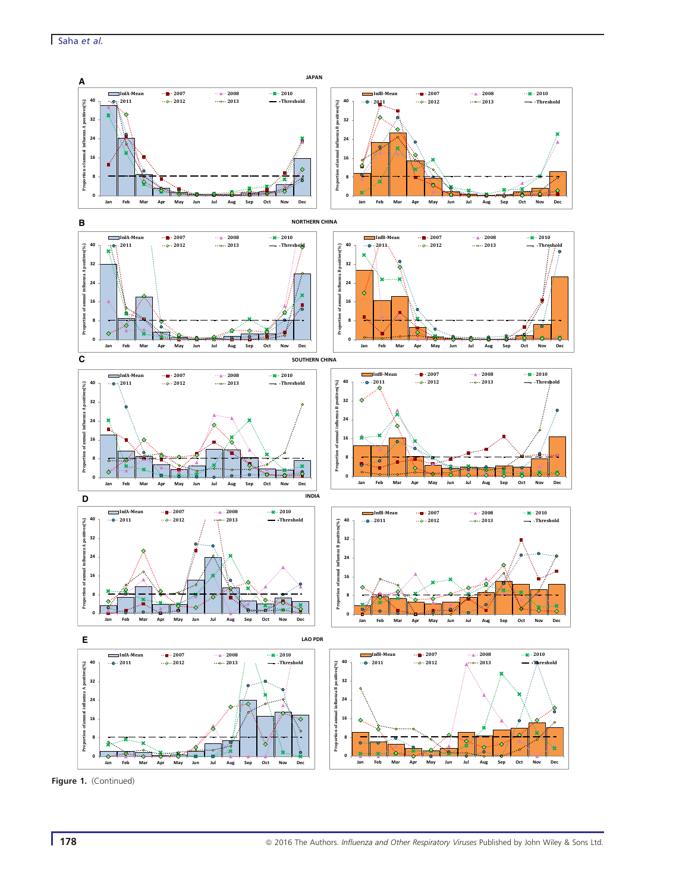

Figure 1. (Continued)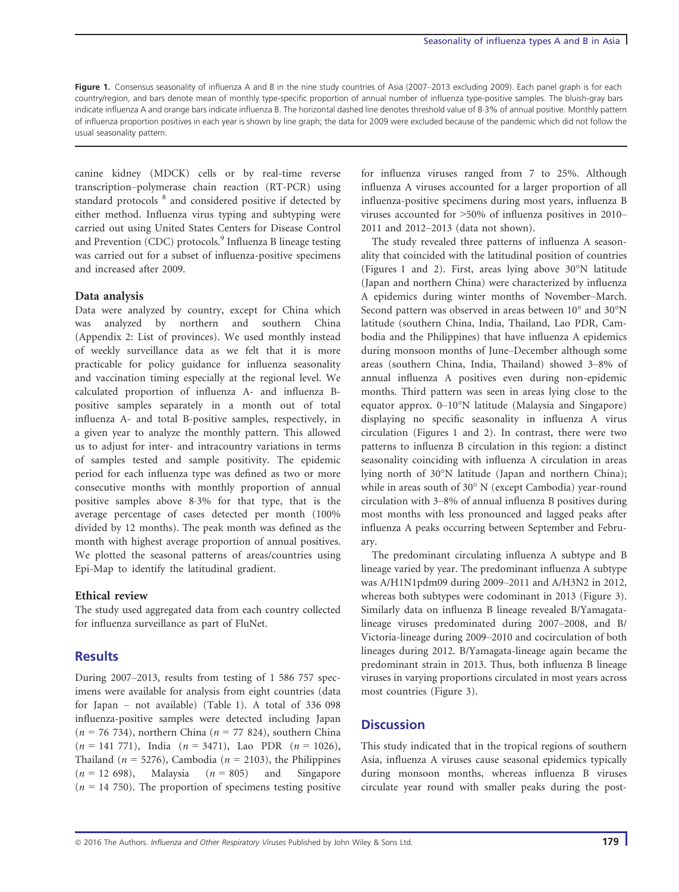canine kidney (MDCK) cells or by real-time reverse transcription–polymerase chain reaction (RT-PCR) using standard protocols  $^{8}$  and considered positive if detected by either method. Influenza virus typing and subtyping were carried out using United States Centers for Disease Control and Prevention (CDC) protocols.<sup>9</sup> Influenza B lineage testing was carried out for a subset of influenza-positive specimens and increased after 2009.

#### Data analysis

Data were analyzed by country, except for China which was analyzed by northern and southern China (Appendix 2: List of provinces). We used monthly instead of weekly surveillance data as we felt that it is more practicable for policy guidance for influenza seasonality and vaccination timing especially at the regional level. We calculated proportion of influenza A- and influenza Bpositive samples separately in a month out of total influenza A- and total B-positive samples, respectively, in a given year to analyze the monthly pattern. This allowed us to adjust for inter- and intracountry variations in terms of samples tested and sample positivity. The epidemic period for each influenza type was defined as two or more consecutive months with monthly proportion of annual positive samples above 83% for that type, that is the average percentage of cases detected per month (100% divided by 12 months). The peak month was defined as the month with highest average proportion of annual positives. We plotted the seasonal patterns of areas/countries using Epi-Map to identify the latitudinal gradient.

#### Ethical review

The study used aggregated data from each country collected for influenza surveillance as part of FluNet.

### **Results**

During 2007–2013, results from testing of 1 586 757 specimens were available for analysis from eight countries (data for Japan – not available) (Table 1). A total of 336 098 influenza-positive samples were detected including Japan (*n* = 76 734), northern China (*n* = 77 824), southern China (*n* = 141 771), India (*n* = 3471), Lao PDR (*n* = 1026), Thailand ( $n = 5276$ ), Cambodia ( $n = 2103$ ), the Philippines  $(n = 12, 698)$ , Malaysia  $(n = 805)$  and Singapore  $(n = 14, 750)$ . The proportion of specimens testing positive for influenza viruses ranged from 7 to 25%. Although influenza A viruses accounted for a larger proportion of all influenza-positive specimens during most years, influenza B viruses accounted for >50% of influenza positives in 2010– 2011 and 2012–2013 (data not shown).

The study revealed three patterns of influenza A seasonality that coincided with the latitudinal position of countries (Figures 1 and 2). First, areas lying above  $30^{\circ}$ N latitude (Japan and northern China) were characterized by influenza A epidemics during winter months of November–March. Second pattern was observed in areas between 10° and 30°N latitude (southern China, India, Thailand, Lao PDR, Cambodia and the Philippines) that have influenza A epidemics during monsoon months of June–December although some areas (southern China, India, Thailand) showed 3–8% of annual influenza A positives even during non-epidemic months. Third pattern was seen in areas lying close to the equator approx. 0-10°N latitude (Malaysia and Singapore) displaying no specific seasonality in influenza A virus circulation (Figures 1 and 2). In contrast, there were two patterns to influenza B circulation in this region: a distinct seasonality coinciding with influenza A circulation in areas lying north of 30°N latitude (Japan and northern China); while in areas south of  $30^{\circ}$  N (except Cambodia) year-round circulation with 3–8% of annual influenza B positives during most months with less pronounced and lagged peaks after influenza A peaks occurring between September and February.

The predominant circulating influenza A subtype and B lineage varied by year. The predominant influenza A subtype was A/H1N1pdm09 during 2009–2011 and A/H3N2 in 2012, whereas both subtypes were codominant in 2013 (Figure 3). Similarly data on influenza B lineage revealed B/Yamagatalineage viruses predominated during 2007–2008, and B/ Victoria-lineage during 2009–2010 and cocirculation of both lineages during 2012. B/Yamagata-lineage again became the predominant strain in 2013. Thus, both influenza B lineage viruses in varying proportions circulated in most years across most countries (Figure 3).

### **Discussion**

This study indicated that in the tropical regions of southern Asia, influenza A viruses cause seasonal epidemics typically during monsoon months, whereas influenza B viruses circulate year round with smaller peaks during the post-

Figure 1. Consensus seasonality of influenza A and B in the nine study countries of Asia (2007-2013 excluding 2009). Each panel graph is for each country/region, and bars denote mean of monthly type-specific proportion of annual number of influenza type-positive samples. The bluish-gray bars indicate influenza A and orange bars indicate influenza B. The horizontal dashed line denotes threshold value of 83% of annual positive. Monthly pattern of influenza proportion positives in each year is shown by line graph; the data for 2009 were excluded because of the pandemic which did not follow the usual seasonality pattern.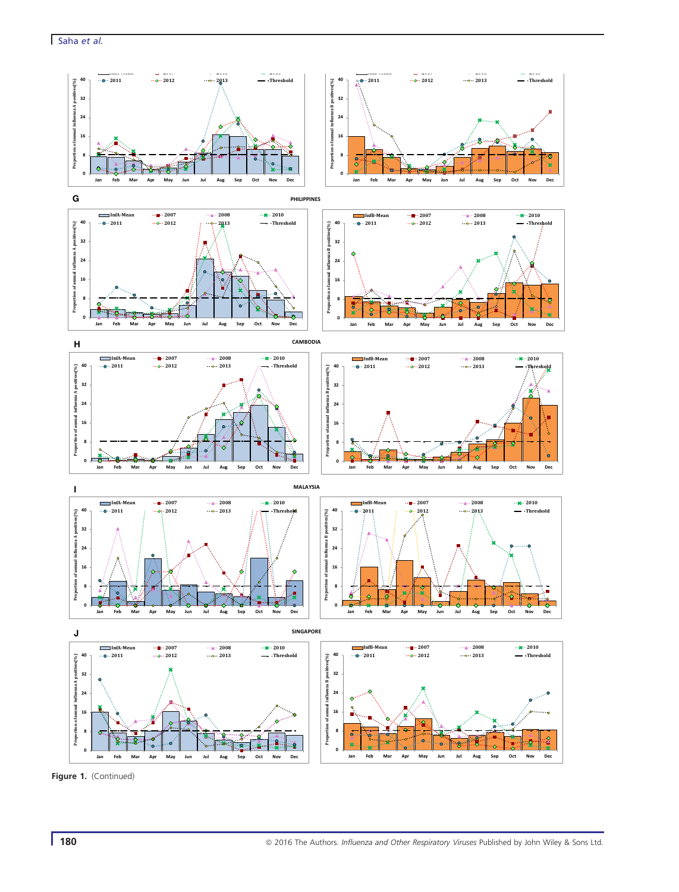

**Proportion of annual in-**

Proportion

annual

ifluenza

















Figure 1. (Continued)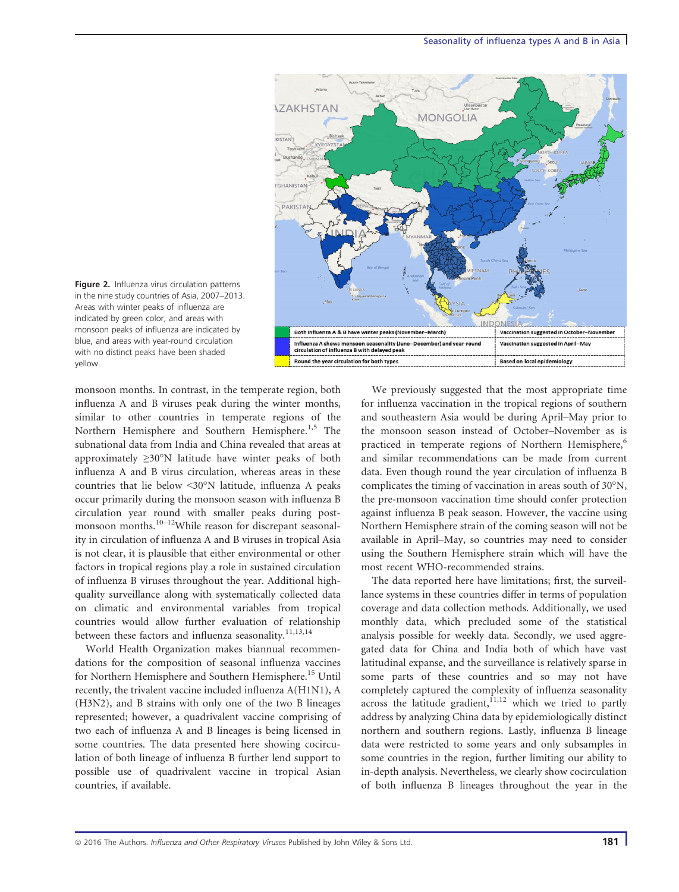

Figure 2. Influenza virus circulation patterns in the nine study countries of Asia, 2007–2013. Areas with winter peaks of influenza are indicated by green color, and areas with monsoon peaks of influenza are indicated by blue, and areas with year-round circulation with no distinct peaks have been shaded yellow.

monsoon months. In contrast, in the temperate region, both influenza A and B viruses peak during the winter months, similar to other countries in temperate regions of the Northern Hemisphere and Southern Hemisphere.<sup>1,5</sup> The subnational data from India and China revealed that areas at approximately  $\geq 30^{\circ}$ N latitude have winter peaks of both influenza A and B virus circulation, whereas areas in these countries that lie below  $\leq 30^\circ N$  latitude, influenza A peaks occur primarily during the monsoon season with influenza B circulation year round with smaller peaks during postmonsoon months.<sup>10–12</sup>While reason for discrepant seasonality in circulation of influenza A and B viruses in tropical Asia is not clear, it is plausible that either environmental or other factors in tropical regions play a role in sustained circulation of influenza B viruses throughout the year. Additional highquality surveillance along with systematically collected data on climatic and environmental variables from tropical countries would allow further evaluation of relationship between these factors and influenza seasonality.<sup>11,13,14</sup>

World Health Organization makes biannual recommendations for the composition of seasonal influenza vaccines for Northern Hemisphere and Southern Hemisphere.<sup>15</sup> Until recently, the trivalent vaccine included influenza A(H1N1), A (H3N2), and B strains with only one of the two B lineages represented; however, a quadrivalent vaccine comprising of two each of influenza A and B lineages is being licensed in some countries. The data presented here showing cocirculation of both lineage of influenza B further lend support to possible use of quadrivalent vaccine in tropical Asian countries, if available.

We previously suggested that the most appropriate time for influenza vaccination in the tropical regions of southern and southeastern Asia would be during April–May prior to the monsoon season instead of October–November as is practiced in temperate regions of Northern Hemisphere,<sup>6</sup> and similar recommendations can be made from current data. Even though round the year circulation of influenza B complicates the timing of vaccination in areas south of 30°N, the pre-monsoon vaccination time should confer protection against influenza B peak season. However, the vaccine using Northern Hemisphere strain of the coming season will not be available in April–May, so countries may need to consider using the Southern Hemisphere strain which will have the most recent WHO-recommended strains.

The data reported here have limitations; first, the surveillance systems in these countries differ in terms of population coverage and data collection methods. Additionally, we used monthly data, which precluded some of the statistical analysis possible for weekly data. Secondly, we used aggregated data for China and India both of which have vast latitudinal expanse, and the surveillance is relatively sparse in some parts of these countries and so may not have completely captured the complexity of influenza seasonality across the latitude gradient,  $11,12$  which we tried to partly address by analyzing China data by epidemiologically distinct northern and southern regions. Lastly, influenza B lineage data were restricted to some years and only subsamples in some countries in the region, further limiting our ability to in-depth analysis. Nevertheless, we clearly show cocirculation of both influenza B lineages throughout the year in the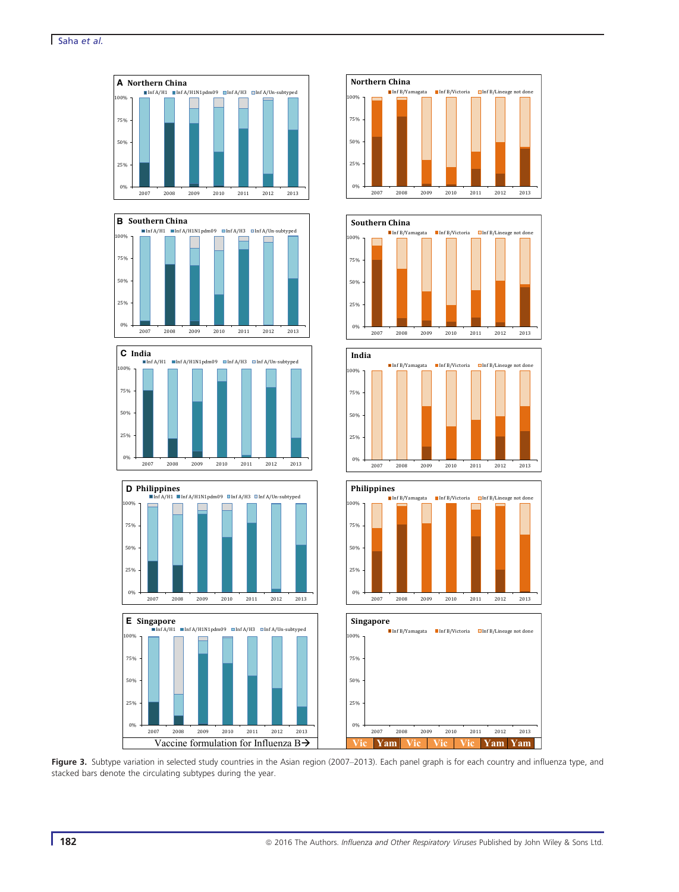

Figure 3. Subtype variation in selected study countries in the Asian region (2007–2013). Each panel graph is for each country and influenza type, and stacked bars denote the circulating subtypes during the year.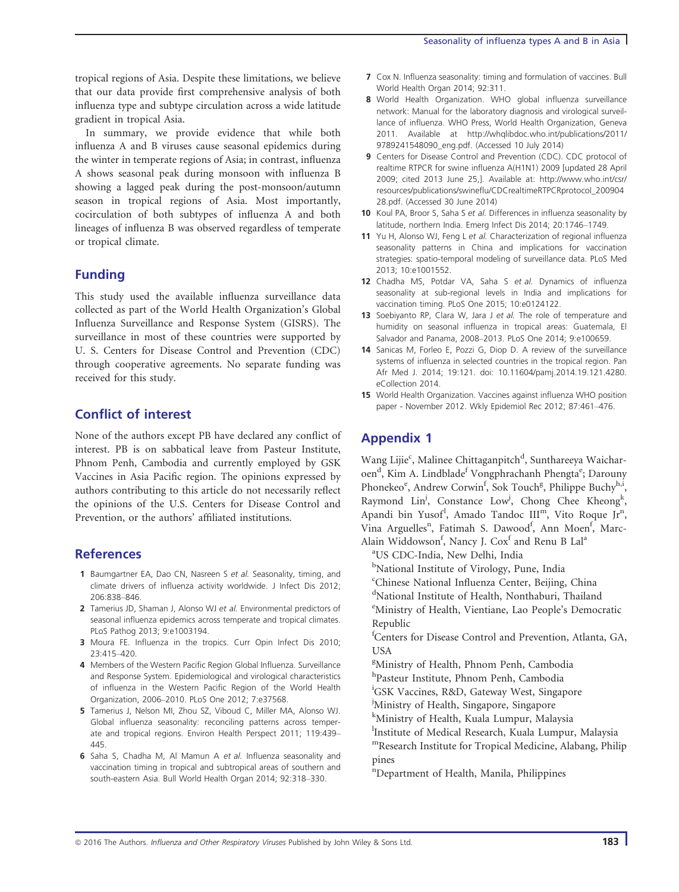tropical regions of Asia. Despite these limitations, we believe that our data provide first comprehensive analysis of both influenza type and subtype circulation across a wide latitude gradient in tropical Asia.

In summary, we provide evidence that while both influenza A and B viruses cause seasonal epidemics during the winter in temperate regions of Asia; in contrast, influenza A shows seasonal peak during monsoon with influenza B showing a lagged peak during the post-monsoon/autumn season in tropical regions of Asia. Most importantly, cocirculation of both subtypes of influenza A and both lineages of influenza B was observed regardless of temperate or tropical climate.

## Funding

This study used the available influenza surveillance data collected as part of the World Health Organization's Global Influenza Surveillance and Response System (GISRS). The surveillance in most of these countries were supported by U. S. Centers for Disease Control and Prevention (CDC) through cooperative agreements. No separate funding was received for this study.

## Conflict of interest

None of the authors except PB have declared any conflict of interest. PB is on sabbatical leave from Pasteur Institute, Phnom Penh, Cambodia and currently employed by GSK Vaccines in Asia Pacific region. The opinions expressed by authors contributing to this article do not necessarily reflect the opinions of the U.S. Centers for Disease Control and Prevention, or the authors' affiliated institutions.

## **References**

- 1 Baumgartner EA, Dao CN, Nasreen S et al. Seasonality, timing, and climate drivers of influenza activity worldwide. J Infect Dis 2012; 206:838–846.
- 2 Tamerius JD, Shaman J, Alonso WJ et al. Environmental predictors of seasonal influenza epidemics across temperate and tropical climates. PLoS Pathog 2013; 9:e1003194.
- 3 Moura FE. Influenza in the tropics. Curr Opin Infect Dis 2010; 23:415–420.
- 4 Members of the Western Pacific Region Global Influenza. Surveillance and Response System. Epidemiological and virological characteristics of influenza in the Western Pacific Region of the World Health Organization, 2006–2010. PLoS One 2012; 7:e37568.
- 5 Tamerius J, Nelson MI, Zhou SZ, Viboud C, Miller MA, Alonso WJ. Global influenza seasonality: reconciling patterns across temperate and tropical regions. Environ Health Perspect 2011; 119:439– 445.
- 6 Saha S, Chadha M, Al Mamun A et al. Influenza seasonality and vaccination timing in tropical and subtropical areas of southern and south-eastern Asia. Bull World Health Organ 2014; 92:318–330.
- 7 Cox N. Influenza seasonality: timing and formulation of vaccines. Bull World Health Organ 2014; 92:311.
- 8 World Health Organization. WHO global influenza surveillance network: Manual for the laboratory diagnosis and virological surveillance of influenza. WHO Press, World Health Organization, Geneva 2011. Available at http://whqlibdoc.who.int/publications/2011/ 9789241548090\_eng.pdf. (Accessed 10 July 2014)
- 9 Centers for Disease Control and Prevention (CDC). CDC protocol of realtime RTPCR for swine influenza A(H1N1) 2009 [updated 28 April 2009; cited 2013 June 25,]. Available at: http://www.who.int/csr/ resources/publications/swineflu/CDCrealtimeRTPCRprotocol\_200904 28.pdf. (Accessed 30 June 2014)
- 10 Koul PA, Broor S, Saha S et al. Differences in influenza seasonality by latitude, northern India. Emerg Infect Dis 2014; 20:1746–1749.
- 11 Yu H, Alonso WJ, Feng L et al. Characterization of regional influenza seasonality patterns in China and implications for vaccination strategies: spatio-temporal modeling of surveillance data. PLoS Med 2013; 10:e1001552.
- 12 Chadha MS, Potdar VA, Saha S et al. Dynamics of influenza seasonality at sub-regional levels in India and implications for vaccination timing. PLoS One 2015; 10:e0124122.
- 13 Soebiyanto RP, Clara W, Jara J et al. The role of temperature and humidity on seasonal influenza in tropical areas: Guatemala, El Salvador and Panama, 2008–2013. PLoS One 2014; 9:e100659.
- 14 Sanicas M, Forleo E, Pozzi G, Diop D. A review of the surveillance systems of influenza in selected countries in the tropical region. Pan Afr Med J. 2014; 19:121. doi: 10.11604/pamj.2014.19.121.4280. eCollection 2014.
- 15 World Health Organization. Vaccines against influenza WHO position paper - November 2012. Wkly Epidemiol Rec 2012; 87:461–476.

# Appendix 1

Wang Lijie<sup>c</sup>, Malinee Chittaganpitch<sup>d</sup>, Sunthareeya Waicharoen<sup>d</sup>, Kim A. Lindblade<sup>f</sup> Vongphrachanh Phengta<sup>e</sup>; Darouny Phonekeo<sup>e</sup>, Andrew Corwin<sup>f</sup>, Sok Touch<sup>g</sup>, Philippe Buchy<sup>h,i</sup>, Raymond Lin<sup>j</sup>, Constance Low<sup>j</sup>, Chong Chee Kheong<sup>k</sup>, Apandi bin Yusof<sup>1</sup>, Amado Tandoc III<sup>m</sup>, Vito Roque Jr<sup>n</sup>, Vina Arguelles<sup>n</sup>, Fatimah S. Dawood<sup>f</sup>, Ann Moen<sup>f</sup>, Marc-Alain Widdowson<sup>f</sup>, Nancy J. Cox<sup>f</sup> and Renu B Lal<sup>a</sup>

<sup>a</sup>US CDC-India, New Delhi, India

- <sup>b</sup>National Institute of Virology, Pune, India
- <sup>c</sup>Chinese National Influenza Center, Beijing, China
- <sup>d</sup>National Institute of Health, Nonthaburi, Thailand

<sup>e</sup>Ministry of Health, Vientiane, Lao People's Democratic Republic

<sup>f</sup>Centers for Disease Control and Prevention, Atlanta, GA, USA

- <sup>g</sup>Ministry of Health, Phnom Penh, Cambodia
- h Pasteur Institute, Phnom Penh, Cambodia

<sup>i</sup>GSK Vaccines, R&D, Gateway West, Singapore

- <sup>j</sup>Ministry of Health, Singapore, Singapore
- <sup>k</sup>Ministry of Health, Kuala Lumpur, Malaysia
- <sup>1</sup>Institute of Medical Research, Kuala Lumpur, Malaysia
- m Research Institute for Tropical Medicine, Alabang, Philip pines
- <sup>n</sup>Department of Health, Manila, Philippines